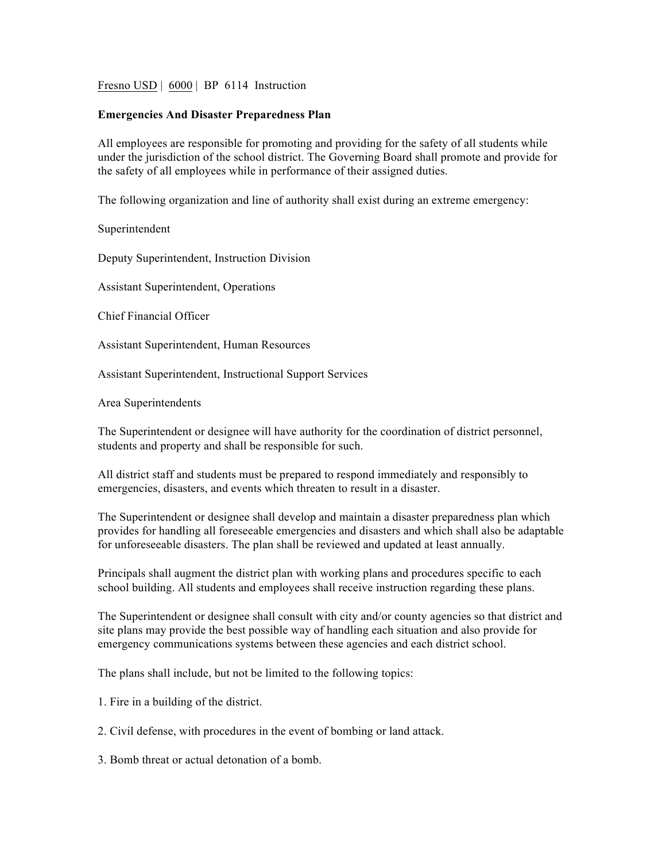Fresno USD | 6000 | BP 6114 Instruction

## **Emergencies And Disaster Preparedness Plan**

All employees are responsible for promoting and providing for the safety of all students while under the jurisdiction of the school district. The Governing Board shall promote and provide for the safety of all employees while in performance of their assigned duties.

The following organization and line of authority shall exist during an extreme emergency:

Superintendent

Deputy Superintendent, Instruction Division

Assistant Superintendent, Operations

Chief Financial Officer

Assistant Superintendent, Human Resources

Assistant Superintendent, Instructional Support Services

Area Superintendents

The Superintendent or designee will have authority for the coordination of district personnel, students and property and shall be responsible for such.

All district staff and students must be prepared to respond immediately and responsibly to emergencies, disasters, and events which threaten to result in a disaster.

The Superintendent or designee shall develop and maintain a disaster preparedness plan which provides for handling all foreseeable emergencies and disasters and which shall also be adaptable for unforeseeable disasters. The plan shall be reviewed and updated at least annually.

Principals shall augment the district plan with working plans and procedures specific to each school building. All students and employees shall receive instruction regarding these plans.

The Superintendent or designee shall consult with city and/or county agencies so that district and site plans may provide the best possible way of handling each situation and also provide for emergency communications systems between these agencies and each district school.

The plans shall include, but not be limited to the following topics:

1. Fire in a building of the district.

2. Civil defense, with procedures in the event of bombing or land attack.

3. Bomb threat or actual detonation of a bomb.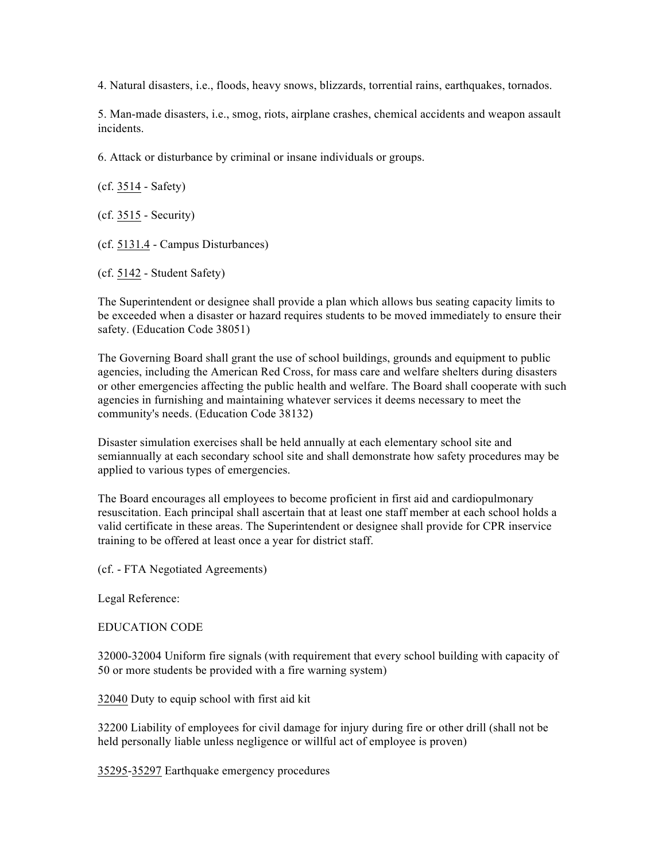4. Natural disasters, i.e., floods, heavy snows, blizzards, torrential rains, earthquakes, tornados.

5. Man-made disasters, i.e., smog, riots, airplane crashes, chemical accidents and weapon assault incidents.

6. Attack or disturbance by criminal or insane individuals or groups.

(cf. 3514 - Safety)

(cf. 3515 - Security)

(cf. 5131.4 - Campus Disturbances)

(cf. 5142 - Student Safety)

The Superintendent or designee shall provide a plan which allows bus seating capacity limits to be exceeded when a disaster or hazard requires students to be moved immediately to ensure their safety. (Education Code 38051)

The Governing Board shall grant the use of school buildings, grounds and equipment to public agencies, including the American Red Cross, for mass care and welfare shelters during disasters or other emergencies affecting the public health and welfare. The Board shall cooperate with such agencies in furnishing and maintaining whatever services it deems necessary to meet the community's needs. (Education Code 38132)

Disaster simulation exercises shall be held annually at each elementary school site and semiannually at each secondary school site and shall demonstrate how safety procedures may be applied to various types of emergencies.

The Board encourages all employees to become proficient in first aid and cardiopulmonary resuscitation. Each principal shall ascertain that at least one staff member at each school holds a valid certificate in these areas. The Superintendent or designee shall provide for CPR inservice training to be offered at least once a year for district staff.

(cf. - FTA Negotiated Agreements)

Legal Reference:

EDUCATION CODE

32000-32004 Uniform fire signals (with requirement that every school building with capacity of 50 or more students be provided with a fire warning system)

32040 Duty to equip school with first aid kit

32200 Liability of employees for civil damage for injury during fire or other drill (shall not be held personally liable unless negligence or willful act of employee is proven)

35295-35297 Earthquake emergency procedures